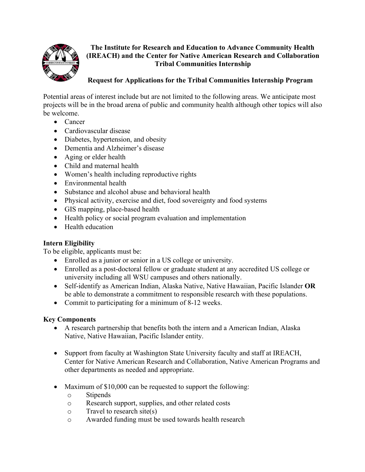

## **The Institute for Research and Education to Advance Community Health (IREACH) and the Center for Native American Research and Collaboration Tribal Communities Internship**

# **Request for Applications for the Tribal Communities Internship Program**

Potential areas of interest include but are not limited to the following areas. We anticipate most projects will be in the broad arena of public and community health although other topics will also be welcome.

- Cancer
- Cardiovascular disease
- Diabetes, hypertension, and obesity
- Dementia and Alzheimer's disease
- Aging or elder health
- Child and maternal health
- Women's health including reproductive rights
- Environmental health
- Substance and alcohol abuse and behavioral health
- Physical activity, exercise and diet, food sovereignty and food systems
- GIS mapping, place-based health
- Health policy or social program evaluation and implementation
- Health education

## **Intern Eligibility**

To be eligible, applicants must be:

- Enrolled as a junior or senior in a US college or university.
- Enrolled as a post-doctoral fellow or graduate student at any accredited US college or university including all WSU campuses and others nationally.
- Self-identify as American Indian, Alaska Native, Native Hawaiian, Pacific Islander **OR** be able to demonstrate a commitment to responsible research with these populations.
- Commit to participating for a minimum of 8-12 weeks.

## **Key Components**

- A research partnership that benefits both the intern and a American Indian, Alaska Native, Native Hawaiian, Pacific Islander entity.
- Support from faculty at Washington State University faculty and staff at IREACH, Center for Native American Research and Collaboration, Native American Programs and other departments as needed and appropriate.
- Maximum of \$10,000 can be requested to support the following:
	- o Stipends
	- o Research support, supplies, and other related costs
	- o Travel to research site(s)
	- o Awarded funding must be used towards health research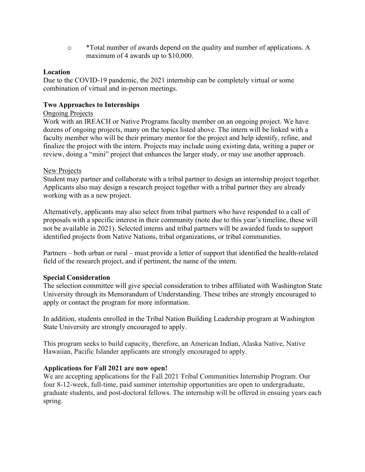o \*Total number of awards depend on the quality and number of applications. A maximum of 4 awards up to \$10,000.

### **Location**

Due to the COVID-19 pandemic, the 2021 internship can be completely virtual or some combination of virtual and in-person meetings.

### **Two Approaches to Internships**

#### Ongoing Projects

Work with an IREACH or Native Programs faculty member on an ongoing project. We have dozens of ongoing projects, many on the topics listed above. The intern will be linked with a faculty member who will be their primary mentor for the project and help identify, refine, and finalize the project with the intern. Projects may include using existing data, writing a paper or review, doing a "mini" project that enhances the larger study, or may use another approach.

#### New Projects

Student may partner and collaborate with a tribal partner to design an internship project together. Applicants also may design a research project together with a tribal partner they are already working with as a new project.

Alternatively, applicants may also select from tribal partners who have responded to a call of proposals with a specific interest in their community (note due to this year's timeline, these will not be available in 2021). Selected interns and tribal partners will be awarded funds to support identified projects from Native Nations, tribal organizations, or tribal communities.

Partners – both urban or rural – must provide a letter of support that identified the health-related field of the research project, and if pertinent, the name of the intern.

### **Special Consideration**

The selection committee will give special consideration to tribes affiliated with Washington State University through its Memorandum of Understanding. These tribes are strongly encouraged to apply or contact the program for more information.

In addition, students enrolled in the Tribal Nation Building Leadership program at Washington State University are strongly encouraged to apply.

This program seeks to build capacity, therefore, an American Indian, Alaska Native, Native Hawaiian, Pacific Islander applicants are strongly encouraged to apply.

#### **Applications for Fall 2021 are now open!**

We are accepting applications for the Fall 2021 Tribal Communities Internship Program. Our four 8-12-week, full-time, paid summer internship opportunities are open to undergraduate, graduate students, and post-doctoral fellows. The internship will be offered in ensuing years each spring.